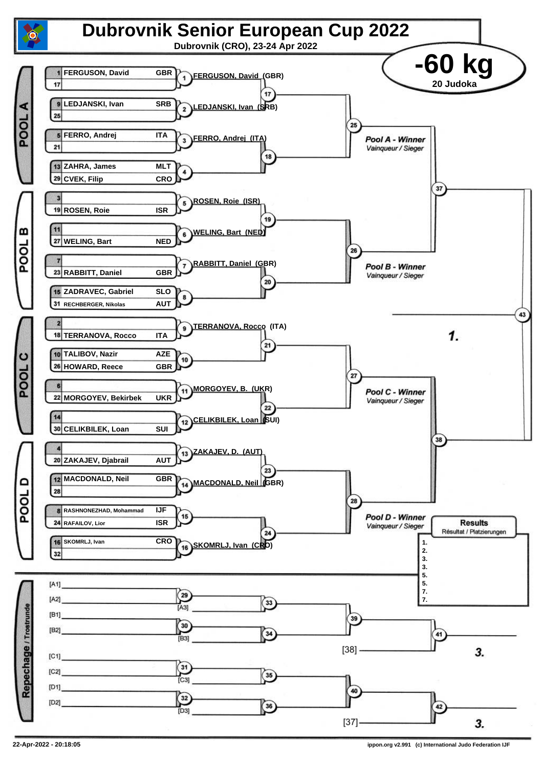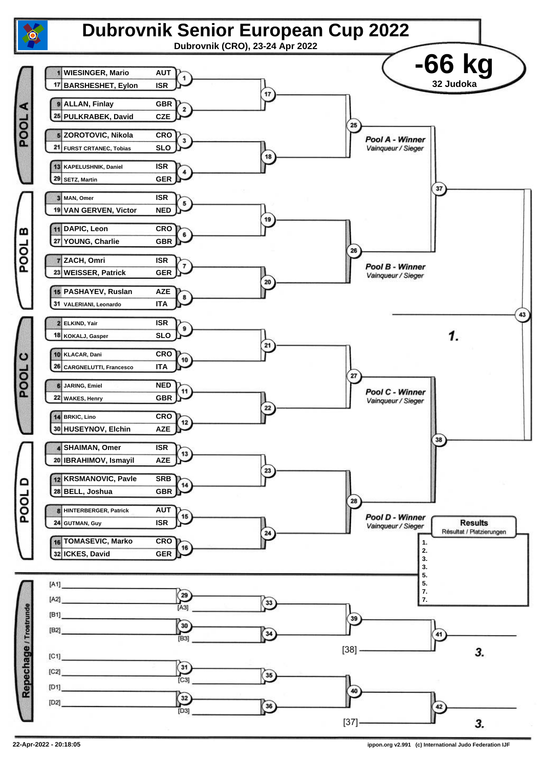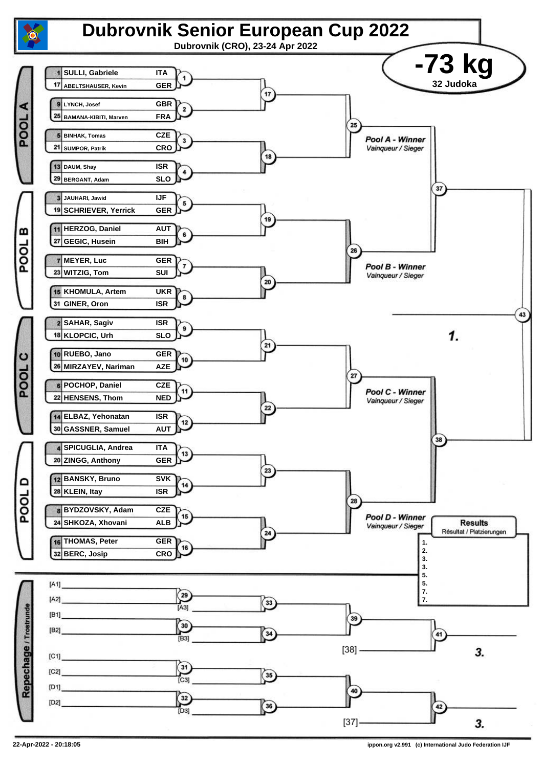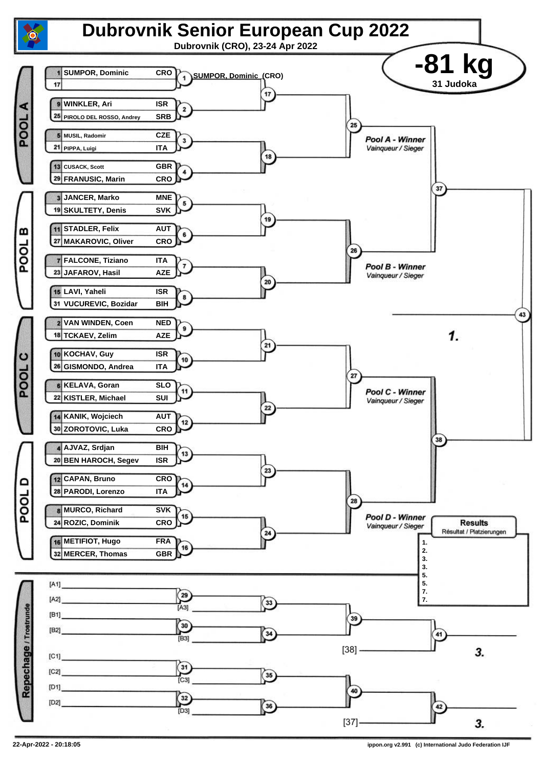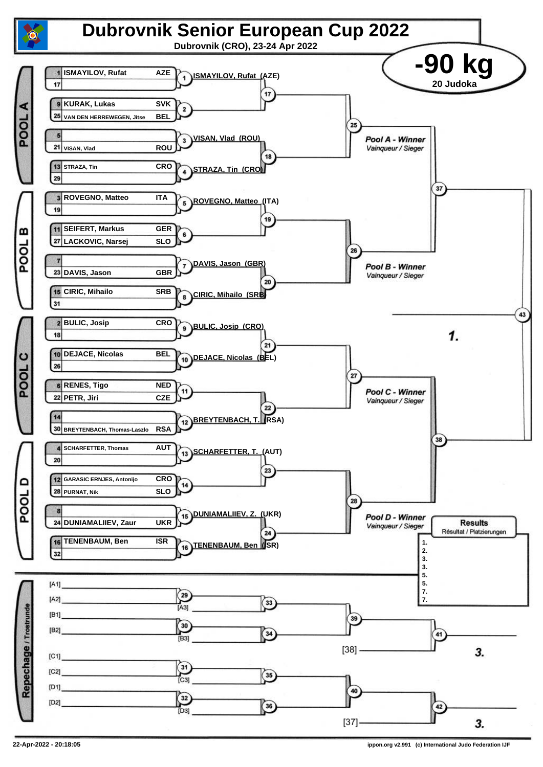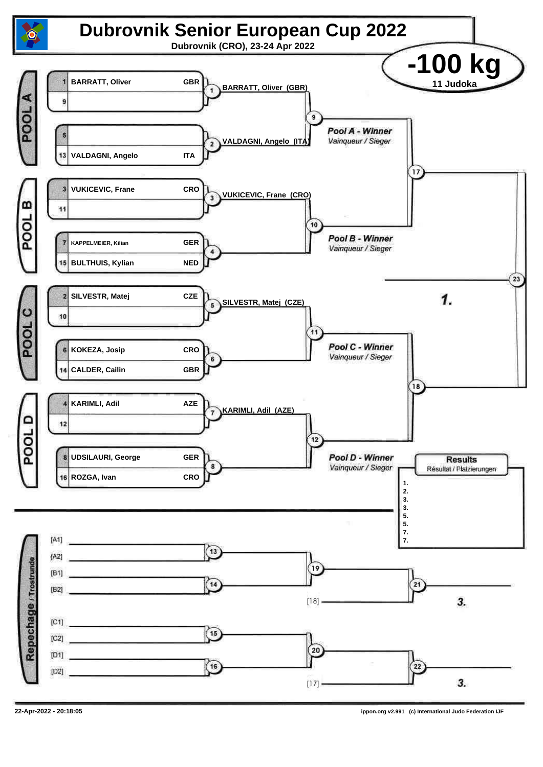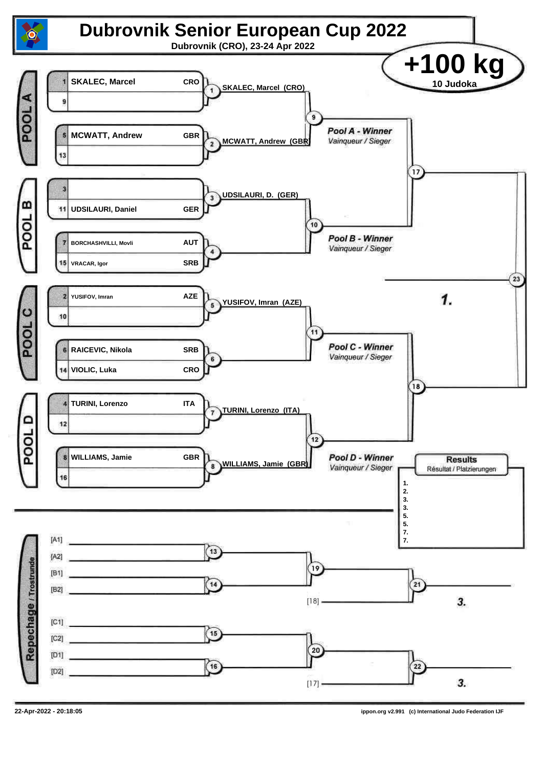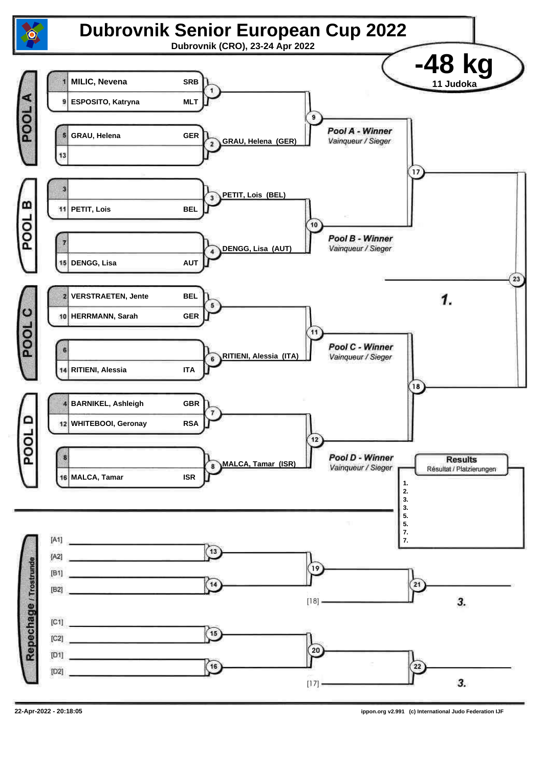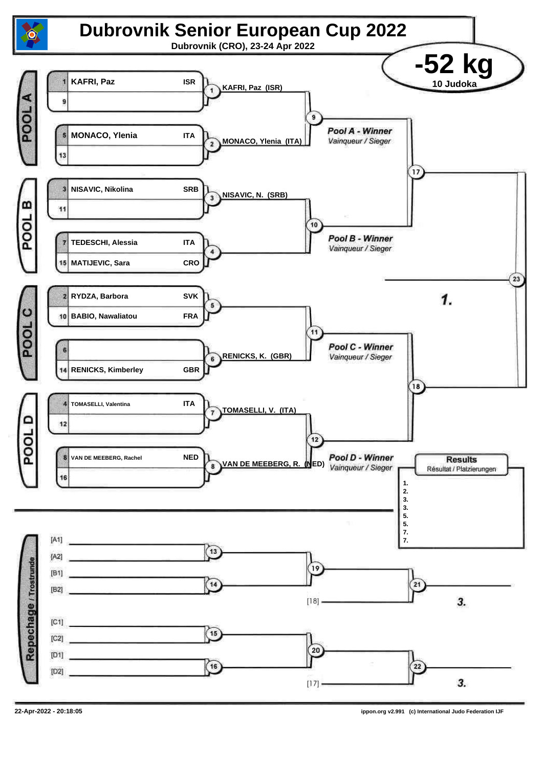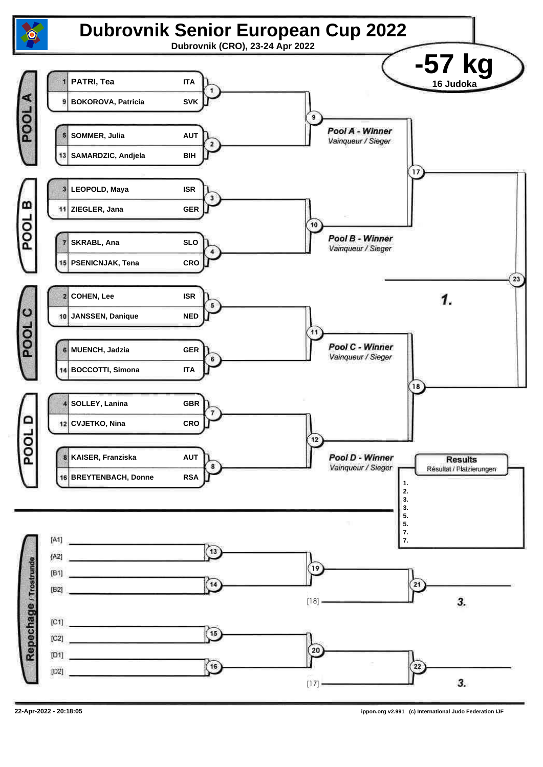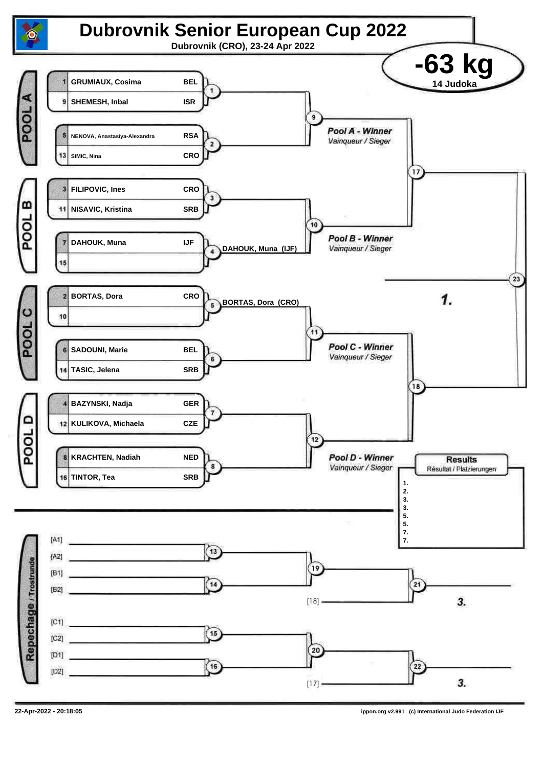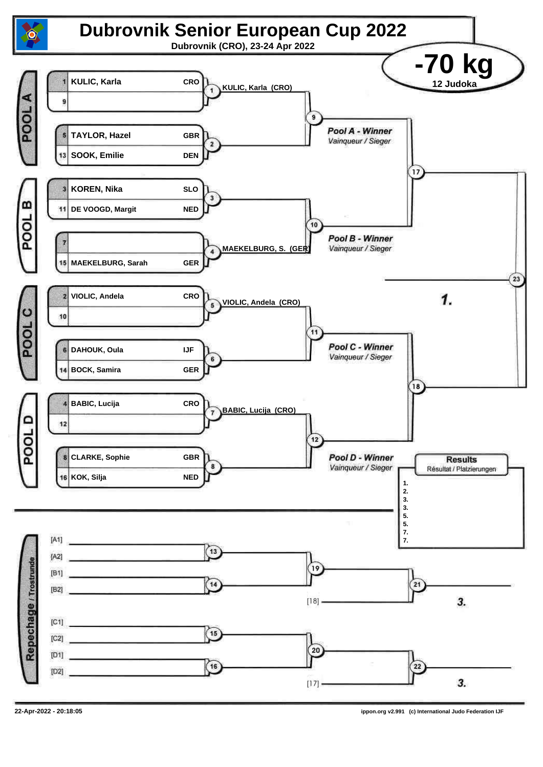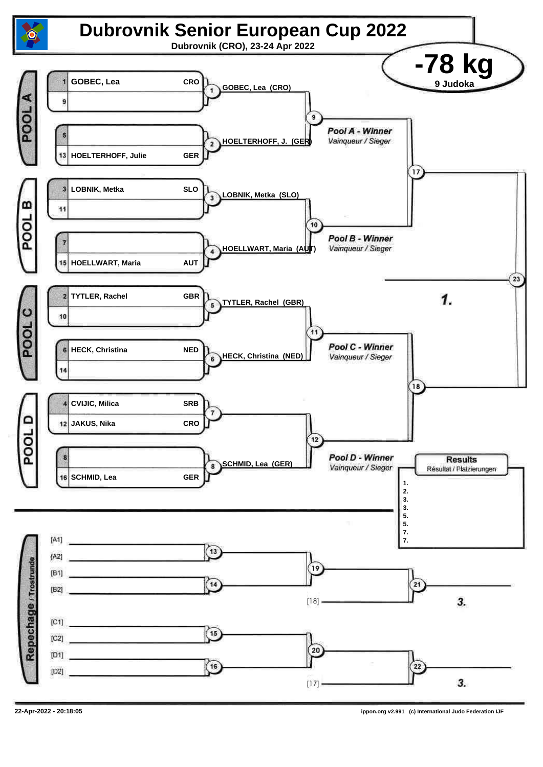